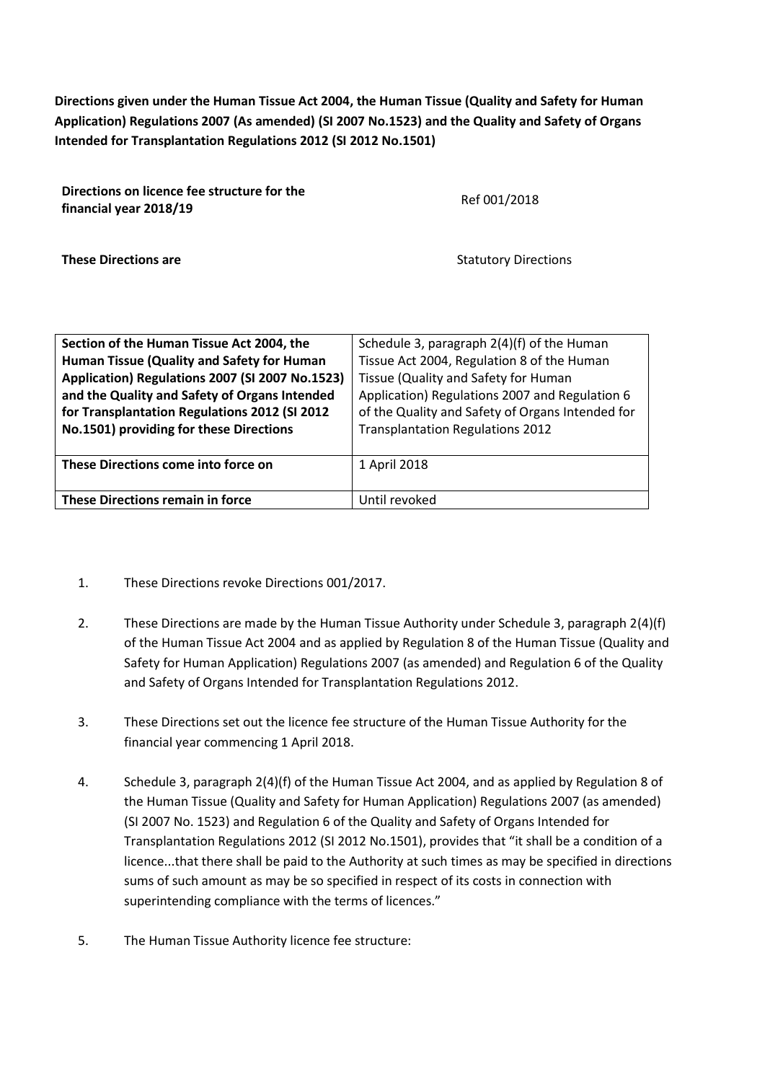**Directions given under the Human Tissue Act 2004, the Human Tissue (Quality and Safety for Human Application) Regulations 2007 (As amended) (SI 2007 No.1523) and the Quality and Safety of Organs Intended for Transplantation Regulations 2012 (SI 2012 No.1501)**

| Directions on licence fee structure for the<br>financial year 2018/19 | Ref 001/2018                |  |  |  |
|-----------------------------------------------------------------------|-----------------------------|--|--|--|
| <b>These Directions are</b>                                           | <b>Statutory Directions</b> |  |  |  |

| Section of the Human Tissue Act 2004, the       | Schedule 3, paragraph 2(4)(f) of the Human       |  |  |  |
|-------------------------------------------------|--------------------------------------------------|--|--|--|
| Human Tissue (Quality and Safety for Human      | Tissue Act 2004, Regulation 8 of the Human       |  |  |  |
| Application) Regulations 2007 (SI 2007 No.1523) | Tissue (Quality and Safety for Human             |  |  |  |
| and the Quality and Safety of Organs Intended   | Application) Regulations 2007 and Regulation 6   |  |  |  |
| for Transplantation Regulations 2012 (SI 2012   | of the Quality and Safety of Organs Intended for |  |  |  |
| No.1501) providing for these Directions         | <b>Transplantation Regulations 2012</b>          |  |  |  |
|                                                 |                                                  |  |  |  |
| These Directions come into force on             | 1 April 2018                                     |  |  |  |
|                                                 |                                                  |  |  |  |
| <b>These Directions remain in force</b>         | Until revoked                                    |  |  |  |

- 1. These Directions revoke Directions 001/2017.
- 2. These Directions are made by the Human Tissue Authority under Schedule 3, paragraph 2(4)(f) of the Human Tissue Act 2004 and as applied by Regulation 8 of the Human Tissue (Quality and Safety for Human Application) Regulations 2007 (as amended) and Regulation 6 of the Quality and Safety of Organs Intended for Transplantation Regulations 2012.
- 3. These Directions set out the licence fee structure of the Human Tissue Authority for the financial year commencing 1 April 2018.
- 4. Schedule 3, paragraph 2(4)(f) of the Human Tissue Act 2004, and as applied by Regulation 8 of the Human Tissue (Quality and Safety for Human Application) Regulations 2007 (as amended) (SI 2007 No. 1523) and Regulation 6 of the Quality and Safety of Organs Intended for Transplantation Regulations 2012 (SI 2012 No.1501), provides that "it shall be a condition of a licence...that there shall be paid to the Authority at such times as may be specified in directions sums of such amount as may be so specified in respect of its costs in connection with superintending compliance with the terms of licences."
- 5. The Human Tissue Authority licence fee structure: